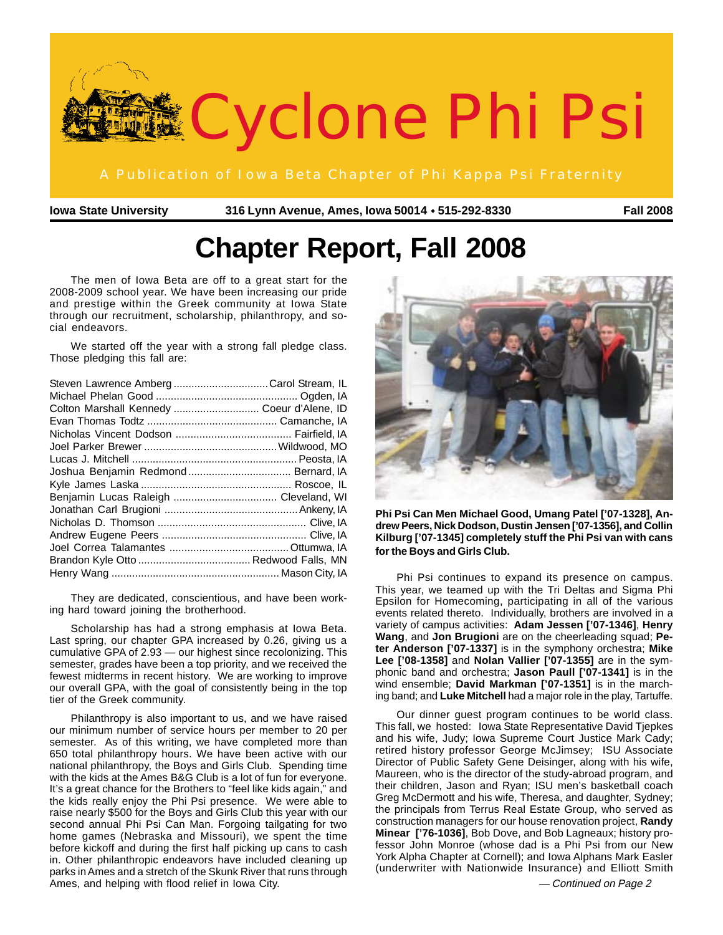

**Iowa State University 316 Lynn Avenue, Ames, Iowa 50014 515-292-8330 Fall 2008** ●

# **Chapter Report, Fall 2008**

The men of Iowa Beta are off to a great start for the 2008-2009 school year. We have been increasing our pride and prestige within the Greek community at Iowa State through our recruitment, scholarship, philanthropy, and social endeavors.

We started off the year with a strong fall pledge class. Those pledging this fall are:

| Steven Lawrence AmbergCarol Stream, IL     |  |
|--------------------------------------------|--|
|                                            |  |
| Colton Marshall Kennedy  Coeur d'Alene, ID |  |
|                                            |  |
|                                            |  |
|                                            |  |
|                                            |  |
|                                            |  |
|                                            |  |
|                                            |  |
|                                            |  |
|                                            |  |
|                                            |  |
|                                            |  |
|                                            |  |
|                                            |  |

They are dedicated, conscientious, and have been working hard toward joining the brotherhood.

Scholarship has had a strong emphasis at Iowa Beta. Last spring, our chapter GPA increased by 0.26, giving us a cumulative GPA of 2.93 — our highest since recolonizing. This semester, grades have been a top priority, and we received the fewest midterms in recent history. We are working to improve our overall GPA, with the goal of consistently being in the top tier of the Greek community.

Philanthropy is also important to us, and we have raised our minimum number of service hours per member to 20 per semester. As of this writing, we have completed more than 650 total philanthropy hours. We have been active with our national philanthropy, the Boys and Girls Club. Spending time with the kids at the Ames B&G Club is a lot of fun for everyone. It's a great chance for the Brothers to "feel like kids again," and the kids really enjoy the Phi Psi presence. We were able to raise nearly \$500 for the Boys and Girls Club this year with our second annual Phi Psi Can Man. Forgoing tailgating for two home games (Nebraska and Missouri), we spent the time before kickoff and during the first half picking up cans to cash in. Other philanthropic endeavors have included cleaning up parks in Ames and a stretch of the Skunk River that runs through Ames, and helping with flood relief in Iowa City.



**Phi Psi Can Men Michael Good, Umang Patel ['07-1328], Andrew Peers, Nick Dodson, Dustin Jensen ['07-1356], and Collin Kilburg ['07-1345] completely stuff the Phi Psi van with cans for the Boys and Girls Club.**

Phi Psi continues to expand its presence on campus. This year, we teamed up with the Tri Deltas and Sigma Phi Epsilon for Homecoming, participating in all of the various events related thereto. Individually, brothers are involved in a variety of campus activities: **Adam Jessen ['07-1346]**, **Henry Wang**, and **Jon Brugioni** are on the cheerleading squad; **Peter Anderson ['07-1337]** is in the symphony orchestra; **Mike Lee ['08-1358]** and **Nolan Vallier ['07-1355]** are in the symphonic band and orchestra; **Jason Paull ['07-1341]** is in the wind ensemble; **David Markman ['07-1351]** is in the marching band; and **Luke Mitchell** had a major role in the play, Tartuffe.

Our dinner guest program continues to be world class. This fall, we hosted: Iowa State Representative David Tjepkes and his wife, Judy; Iowa Supreme Court Justice Mark Cady; retired history professor George McJimsey; ISU Associate Director of Public Safety Gene Deisinger, along with his wife, Maureen, who is the director of the study-abroad program, and their children, Jason and Ryan; ISU men's basketball coach Greg McDermott and his wife, Theresa, and daughter, Sydney; the principals from Terrus Real Estate Group, who served as construction managers for our house renovation project, **Randy Minear ['76-1036]**, Bob Dove, and Bob Lagneaux; history professor John Monroe (whose dad is a Phi Psi from our New York Alpha Chapter at Cornell); and Iowa Alphans Mark Easler (underwriter with Nationwide Insurance) and Elliott Smith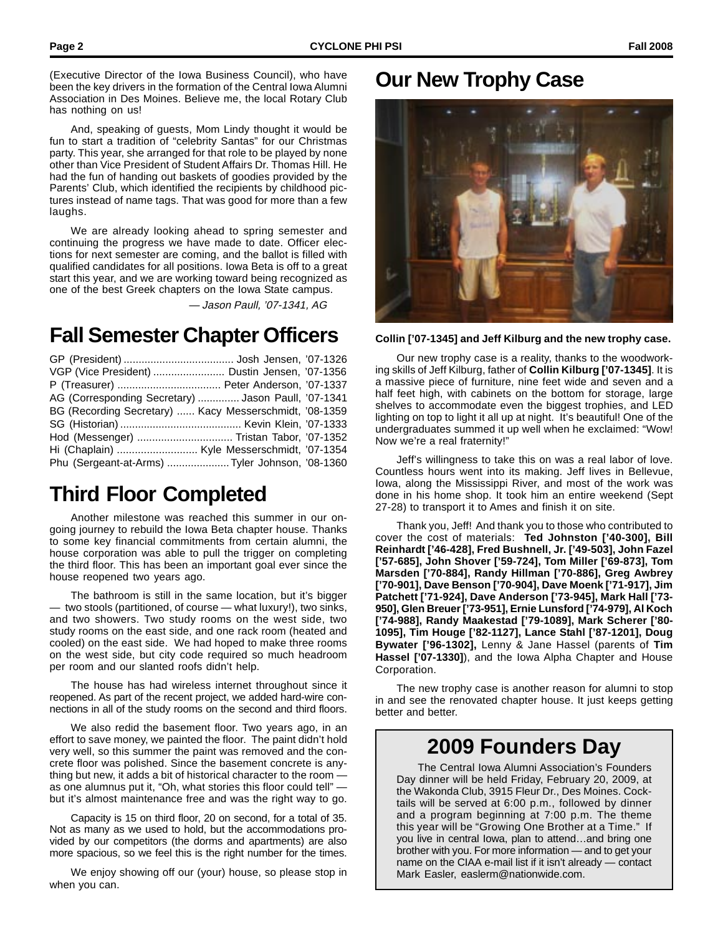(Executive Director of the Iowa Business Council), who have been the key drivers in the formation of the Central Iowa Alumni Association in Des Moines. Believe me, the local Rotary Club has nothing on us!

And, speaking of guests, Mom Lindy thought it would be fun to start a tradition of "celebrity Santas" for our Christmas party. This year, she arranged for that role to be played by none other than Vice President of Student Affairs Dr. Thomas Hill. He had the fun of handing out baskets of goodies provided by the Parents' Club, which identified the recipients by childhood pictures instead of name tags. That was good for more than a few laughs.

We are already looking ahead to spring semester and continuing the progress we have made to date. Officer elections for next semester are coming, and the ballot is filled with qualified candidates for all positions. Iowa Beta is off to a great start this year, and we are working toward being recognized as one of the best Greek chapters on the Iowa State campus.

— Jason Paull, '07-1341, AG

# **Fall Semester Chapter Officers**

| VGP (Vice President)  Dustin Jensen, '07-1356          |  |
|--------------------------------------------------------|--|
|                                                        |  |
| AG (Corresponding Secretary)  Jason Paull, '07-1341    |  |
| BG (Recording Secretary)  Kacy Messerschmidt, '08-1359 |  |
|                                                        |  |
| Hod (Messenger)  Tristan Tabor, '07-1352               |  |
|                                                        |  |
| Phu (Sergeant-at-Arms) Tyler Johnson, '08-1360         |  |

# **Third Floor Completed**

Another milestone was reached this summer in our ongoing journey to rebuild the Iowa Beta chapter house. Thanks to some key financial commitments from certain alumni, the house corporation was able to pull the trigger on completing the third floor. This has been an important goal ever since the house reopened two years ago.

The bathroom is still in the same location, but it's bigger — two stools (partitioned, of course — what luxury!), two sinks, and two showers. Two study rooms on the west side, two study rooms on the east side, and one rack room (heated and cooled) on the east side. We had hoped to make three rooms on the west side, but city code required so much headroom per room and our slanted roofs didn't help.

The house has had wireless internet throughout since it reopened. As part of the recent project, we added hard-wire connections in all of the study rooms on the second and third floors.

We also redid the basement floor. Two years ago, in an effort to save money, we painted the floor. The paint didn't hold very well, so this summer the paint was removed and the concrete floor was polished. Since the basement concrete is anything but new, it adds a bit of historical character to the room as one alumnus put it, "Oh, what stories this floor could tell" but it's almost maintenance free and was the right way to go.

Capacity is 15 on third floor, 20 on second, for a total of 35. Not as many as we used to hold, but the accommodations provided by our competitors (the dorms and apartments) are also more spacious, so we feel this is the right number for the times.

We enjoy showing off our (your) house, so please stop in when you can.

#### **Our New Trophy Case**



**Collin ['07-1345] and Jeff Kilburg and the new trophy case.**

Our new trophy case is a reality, thanks to the woodworking skills of Jeff Kilburg, father of **Collin Kilburg ['07-1345]**. It is a massive piece of furniture, nine feet wide and seven and a half feet high, with cabinets on the bottom for storage, large shelves to accommodate even the biggest trophies, and LED lighting on top to light it all up at night. It's beautiful! One of the undergraduates summed it up well when he exclaimed: "Wow! Now we're a real fraternity!"

Jeff's willingness to take this on was a real labor of love. Countless hours went into its making. Jeff lives in Bellevue, Iowa, along the Mississippi River, and most of the work was done in his home shop. It took him an entire weekend (Sept 27-28) to transport it to Ames and finish it on site.

Thank you, Jeff! And thank you to those who contributed to cover the cost of materials: **Ted Johnston ['40-300], Bill Reinhardt ['46-428], Fred Bushnell, Jr. ['49-503], John Fazel ['57-685], John Shover ['59-724], Tom Miller ['69-873], Tom Marsden ['70-884], Randy Hillman ['70-886], Greg Awbrey ['70-901], Dave Benson ['70-904], Dave Moenk ['71-917], Jim Patchett ['71-924], Dave Anderson ['73-945], Mark Hall ['73- 950], Glen Breuer ['73-951], Ernie Lunsford ['74-979], Al Koch ['74-988], Randy Maakestad ['79-1089], Mark Scherer ['80- 1095], Tim Houge ['82-1127], Lance Stahl ['87-1201], Doug Bywater ['96-1302],** Lenny & Jane Hassel (parents of **Tim Hassel ['07-1330]**), and the Iowa Alpha Chapter and House Corporation.

The new trophy case is another reason for alumni to stop in and see the renovated chapter house. It just keeps getting better and better.

# **2009 Founders Day**

The Central Iowa Alumni Association's Founders Day dinner will be held Friday, February 20, 2009, at the Wakonda Club, 3915 Fleur Dr., Des Moines. Cocktails will be served at 6:00 p.m., followed by dinner and a program beginning at 7:00 p.m. The theme this year will be "Growing One Brother at a Time." If you live in central Iowa, plan to attend…and bring one brother with you. For more information — and to get your name on the CIAA e-mail list if it isn't already — contact Mark Easler, easlerm@nationwide.com.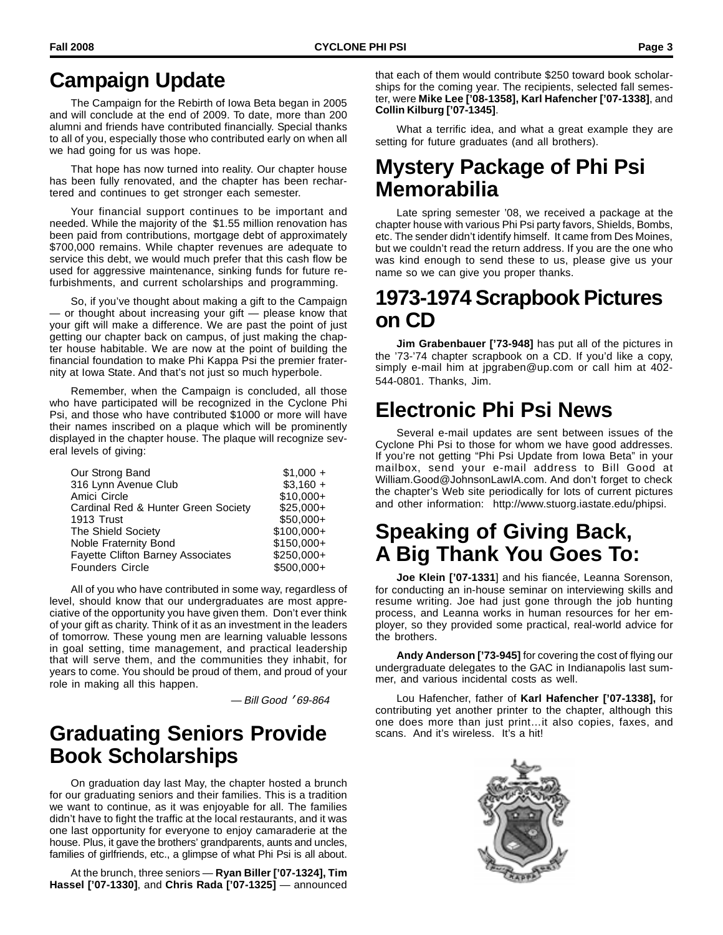# **Campaign Update**

The Campaign for the Rebirth of Iowa Beta began in 2005 and will conclude at the end of 2009. To date, more than 200 alumni and friends have contributed financially. Special thanks to all of you, especially those who contributed early on when all we had going for us was hope.

That hope has now turned into reality. Our chapter house has been fully renovated, and the chapter has been rechartered and continues to get stronger each semester.

Your financial support continues to be important and needed. While the majority of the \$1.55 million renovation has been paid from contributions, mortgage debt of approximately \$700,000 remains. While chapter revenues are adequate to service this debt, we would much prefer that this cash flow be used for aggressive maintenance, sinking funds for future refurbishments, and current scholarships and programming.

So, if you've thought about making a gift to the Campaign — or thought about increasing your gift — please know that your gift will make a difference. We are past the point of just getting our chapter back on campus, of just making the chapter house habitable. We are now at the point of building the financial foundation to make Phi Kappa Psi the premier fraternity at Iowa State. And that's not just so much hyperbole.

Remember, when the Campaign is concluded, all those who have participated will be recognized in the Cyclone Phi Psi, and those who have contributed \$1000 or more will have their names inscribed on a plaque which will be prominently displayed in the chapter house. The plaque will recognize several levels of giving:

| Our Strong Band                          | $$1,000 +$  |
|------------------------------------------|-------------|
| 316 Lynn Avenue Club                     | $$3,160 +$  |
| Amici Circle                             | $$10,000+$  |
| Cardinal Red & Hunter Green Society      | $$25,000+$  |
| 1913 Trust                               | $$50,000+$  |
| The Shield Society                       | $$100,000+$ |
| Noble Fraternity Bond                    | $$150,000+$ |
| <b>Fayette Clifton Barney Associates</b> | $$250,000+$ |
| <b>Founders Circle</b>                   | $$500.000+$ |

All of you who have contributed in some way, regardless of level, should know that our undergraduates are most appreciative of the opportunity you have given them. Don't ever think of your gift as charity. Think of it as an investment in the leaders of tomorrow. These young men are learning valuable lessons in goal setting, time management, and practical leadership that will serve them, and the communities they inhabit, for years to come. You should be proud of them, and proud of your role in making all this happen.

— Bill Good '69-864

#### **Graduating Seniors Provide Book Scholarships**

On graduation day last May, the chapter hosted a brunch for our graduating seniors and their families. This is a tradition we want to continue, as it was enjoyable for all. The families didn't have to fight the traffic at the local restaurants, and it was one last opportunity for everyone to enjoy camaraderie at the house. Plus, it gave the brothers' grandparents, aunts and uncles, families of girlfriends, etc., a glimpse of what Phi Psi is all about.

At the brunch, three seniors — **Ryan Biller ['07-1324], Tim Hassel ['07-1330]**, and **Chris Rada ['07-1325]** — announced that each of them would contribute \$250 toward book scholarships for the coming year. The recipients, selected fall semester, were **Mike Lee ['08-1358], Karl Hafencher ['07-1338]**, and **Collin Kilburg ['07-1345]**.

What a terrific idea, and what a great example they are setting for future graduates (and all brothers).

#### **Mystery Package of Phi Psi Memorabilia**

Late spring semester '08, we received a package at the chapter house with various Phi Psi party favors, Shields, Bombs, etc. The sender didn't identify himself. It came from Des Moines, but we couldn't read the return address. If you are the one who was kind enough to send these to us, please give us your name so we can give you proper thanks.

#### **1973-1974 Scrapbook Pictures on CD**

**Jim Grabenbauer ['73-948]** has put all of the pictures in the '73-'74 chapter scrapbook on a CD. If you'd like a copy, simply e-mail him at jpgraben@up.com or call him at 402- 544-0801. Thanks, Jim.

# **Electronic Phi Psi News**

Several e-mail updates are sent between issues of the Cyclone Phi Psi to those for whom we have good addresses. If you're not getting "Phi Psi Update from Iowa Beta" in your mailbox, send your e-mail address to Bill Good at William.Good@JohnsonLawIA.com. And don't forget to check the chapter's Web site periodically for lots of current pictures and other information: http://www.stuorg.iastate.edu/phipsi.

# **Speaking of Giving Back, A Big Thank You Goes To:**

**Joe Klein ['07-1331**] and his fiancée, Leanna Sorenson, for conducting an in-house seminar on interviewing skills and resume writing. Joe had just gone through the job hunting process, and Leanna works in human resources for her employer, so they provided some practical, real-world advice for the brothers.

**Andy Anderson ['73-945]** for covering the cost of flying our undergraduate delegates to the GAC in Indianapolis last summer, and various incidental costs as well.

Lou Hafencher, father of **Karl Hafencher ['07-1338],** for contributing yet another printer to the chapter, although this one does more than just print…it also copies, faxes, and scans. And it's wireless. It's a hit!

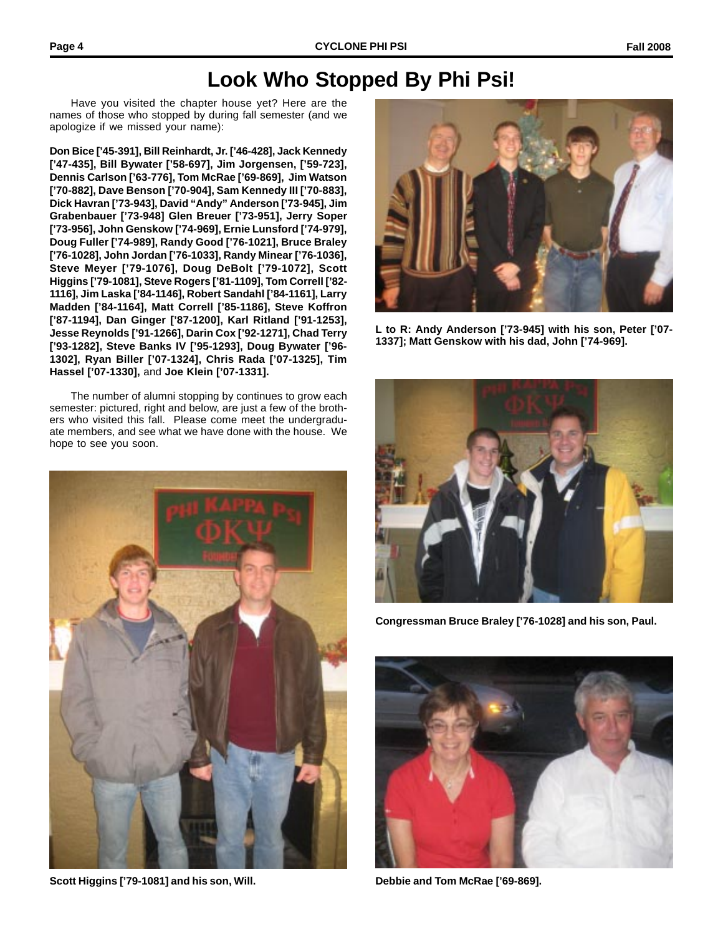#### **Look Who Stopped By Phi Psi!**

Have you visited the chapter house yet? Here are the names of those who stopped by during fall semester (and we apologize if we missed your name):

**Don Bice ['45-391], Bill Reinhardt, Jr. ['46-428], Jack Kennedy ['47-435], Bill Bywater ['58-697], Jim Jorgensen, ['59-723], Dennis Carlson ['63-776], Tom McRae ['69-869], Jim Watson ['70-882], Dave Benson ['70-904], Sam Kennedy III ['70-883], Dick Havran ['73-943], David "Andy" Anderson ['73-945], Jim Grabenbauer ['73-948] Glen Breuer ['73-951], Jerry Soper ['73-956], John Genskow ['74-969], Ernie Lunsford ['74-979], Doug Fuller ['74-989], Randy Good ['76-1021], Bruce Braley ['76-1028], John Jordan ['76-1033], Randy Minear ['76-1036], Steve Meyer ['79-1076], Doug DeBolt ['79-1072], Scott Higgins ['79-1081], Steve Rogers ['81-1109], Tom Correll ['82- 1116], Jim Laska ['84-1146], Robert Sandahl ['84-1161], Larry Madden ['84-1164], Matt Correll ['85-1186], Steve Koffron ['87-1194], Dan Ginger ['87-1200], Karl Ritland ['91-1253], Jesse Reynolds ['91-1266], Darin Cox ['92-1271], Chad Terry ['93-1282], Steve Banks IV ['95-1293], Doug Bywater ['96- 1302], Ryan Biller ['07-1324], Chris Rada ['07-1325], Tim Hassel ['07-1330],** and **Joe Klein ['07-1331].**

The number of alumni stopping by continues to grow each semester: pictured, right and below, are just a few of the brothers who visited this fall. Please come meet the undergraduate members, and see what we have done with the house. We hope to see you soon.



**Scott Higgins ['79-1081] and his son, Will. Debbie and Tom McRae ['69-869].**



**L to R: Andy Anderson ['73-945] with his son, Peter ['07- 1337]; Matt Genskow with his dad, John ['74-969].**



**Congressman Bruce Braley ['76-1028] and his son, Paul.**

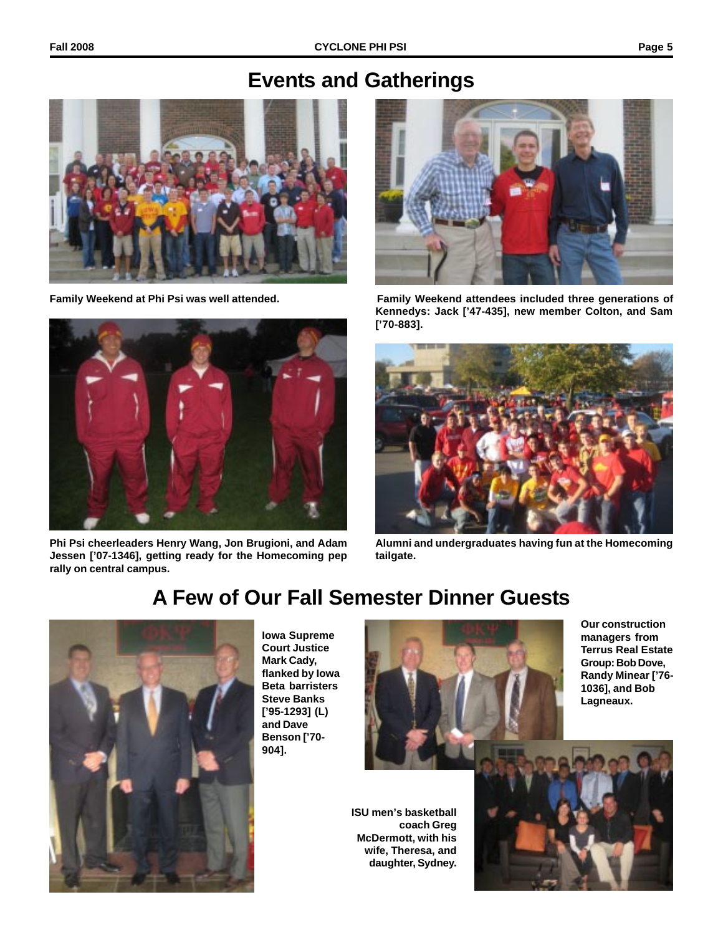#### **Events and Gatherings**





**Phi Psi cheerleaders Henry Wang, Jon Brugioni, and Adam Jessen ['07-1346], getting ready for the Homecoming pep rally on central campus.**



**Family Weekend at Phi Psi was well attended. Family Weekend attendees included three generations of Kennedys: Jack ['47-435], new member Colton, and Sam ['70-883].**



**Alumni and undergraduates having fun at the Homecoming tailgate.**



**Iowa Supreme Court Justice Mark Cady, flanked by Iowa Beta barristers Steve Banks ['95-1293] (L) and Dave Benson ['70- 904].**

**A Few of Our Fall Semester Dinner Guests**



**Our construction managers from Terrus Real Estate Group: Bob Dove, Randy Minear ['76- 1036], and Bob Lagneaux.**

**ISU men's basketball coach Greg McDermott, with his wife, Theresa, and daughter, Sydney.**

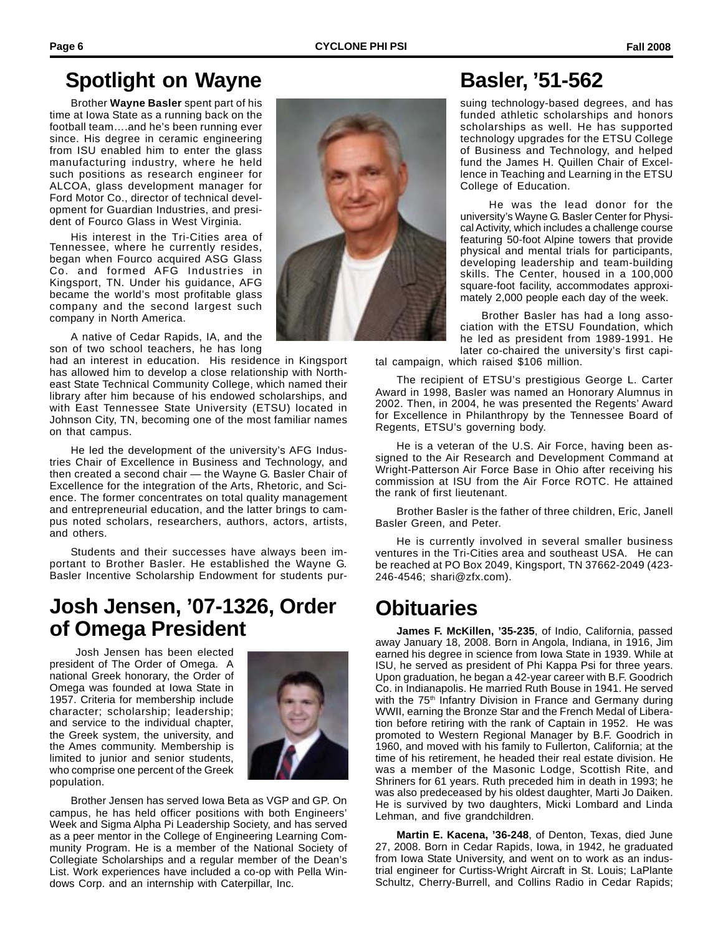# **Spotlight on Wayne Basler, '51-562**

Brother **Wayne Basler** spent part of his time at Iowa State as a running back on the football team….and he's been running ever since. His degree in ceramic engineering from ISU enabled him to enter the glass manufacturing industry, where he held such positions as research engineer for ALCOA, glass development manager for Ford Motor Co., director of technical development for Guardian Industries, and president of Fourco Glass in West Virginia.

His interest in the Tri-Cities area of Tennessee, where he currently resides, began when Fourco acquired ASG Glass Co. and formed AFG Industries in Kingsport, TN. Under his guidance, AFG became the world's most profitable glass company and the second largest such company in North America.

A native of Cedar Rapids, IA, and the son of two school teachers, he has long

had an interest in education. His residence in Kingsport has allowed him to develop a close relationship with Northeast State Technical Community College, which named their library after him because of his endowed scholarships, and with East Tennessee State University (ETSU) located in Johnson City, TN, becoming one of the most familiar names on that campus.

He led the development of the university's AFG Industries Chair of Excellence in Business and Technology, and then created a second chair — the Wayne G. Basler Chair of Excellence for the integration of the Arts, Rhetoric, and Science. The former concentrates on total quality management and entrepreneurial education, and the latter brings to campus noted scholars, researchers, authors, actors, artists, and others.

Students and their successes have always been important to Brother Basler. He established the Wayne G. Basler Incentive Scholarship Endowment for students pur-

# **Josh Jensen, '07-1326, Order of Omega President**

 Josh Jensen has been elected president of The Order of Omega. A national Greek honorary, the Order of Omega was founded at Iowa State in 1957. Criteria for membership include character; scholarship; leadership; and service to the individual chapter, the Greek system, the university, and the Ames community. Membership is limited to junior and senior students, who comprise one percent of the Greek population.



Brother Jensen has served Iowa Beta as VGP and GP. On campus, he has held officer positions with both Engineers' Week and Sigma Alpha Pi Leadership Society, and has served as a peer mentor in the College of Engineering Learning Community Program. He is a member of the National Society of Collegiate Scholarships and a regular member of the Dean's List. Work experiences have included a co-op with Pella Windows Corp. and an internship with Caterpillar, Inc.



suing technology-based degrees, and has funded athletic scholarships and honors scholarships as well. He has supported technology upgrades for the ETSU College of Business and Technology, and helped fund the James H. Quillen Chair of Excellence in Teaching and Learning in the ETSU College of Education.

 He was the lead donor for the university's Wayne G. Basler Center for Physical Activity, which includes a challenge course featuring 50-foot Alpine towers that provide physical and mental trials for participants, developing leadership and team-building skills. The Center, housed in a 100,000 square-foot facility, accommodates approximately 2,000 people each day of the week.

Brother Basler has had a long association with the ETSU Foundation, which he led as president from 1989-1991. He later co-chaired the university's first capi-

tal campaign, which raised \$106 million.

The recipient of ETSU's prestigious George L. Carter Award in 1998, Basler was named an Honorary Alumnus in 2002. Then, in 2004, he was presented the Regents' Award for Excellence in Philanthropy by the Tennessee Board of Regents, ETSU's governing body.

He is a veteran of the U.S. Air Force, having been assigned to the Air Research and Development Command at Wright-Patterson Air Force Base in Ohio after receiving his commission at ISU from the Air Force ROTC. He attained the rank of first lieutenant.

Brother Basler is the father of three children, Eric, Janell Basler Green, and Peter.

He is currently involved in several smaller business ventures in the Tri-Cities area and southeast USA. He can be reached at PO Box 2049, Kingsport, TN 37662-2049 (423- 246-4546; shari@zfx.com).

# **Obituaries**

**James F. McKillen, '35-235**, of Indio, California, passed away January 18, 2008. Born in Angola, Indiana, in 1916, Jim earned his degree in science from Iowa State in 1939. While at ISU, he served as president of Phi Kappa Psi for three years. Upon graduation, he began a 42-year career with B.F. Goodrich Co. in Indianapolis. He married Ruth Bouse in 1941. He served with the 75<sup>th</sup> Infantry Division in France and Germany during WWII, earning the Bronze Star and the French Medal of Liberation before retiring with the rank of Captain in 1952. He was promoted to Western Regional Manager by B.F. Goodrich in 1960, and moved with his family to Fullerton, California; at the time of his retirement, he headed their real estate division. He was a member of the Masonic Lodge, Scottish Rite, and Shriners for 61 years. Ruth preceded him in death in 1993; he was also predeceased by his oldest daughter, Marti Jo Daiken. He is survived by two daughters, Micki Lombard and Linda Lehman, and five grandchildren.

**Martin E. Kacena, '36-248**, of Denton, Texas, died June 27, 2008. Born in Cedar Rapids, Iowa, in 1942, he graduated from Iowa State University, and went on to work as an industrial engineer for Curtiss-Wright Aircraft in St. Louis; LaPlante Schultz, Cherry-Burrell, and Collins Radio in Cedar Rapids;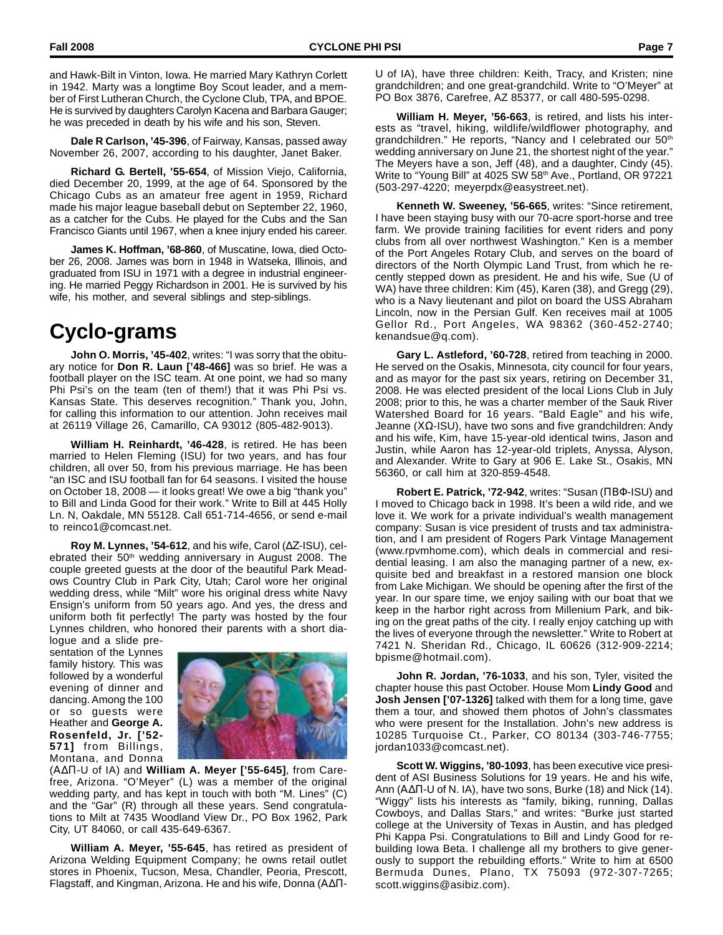and Hawk-Bilt in Vinton, Iowa. He married Mary Kathryn Corlett in 1942. Marty was a longtime Boy Scout leader, and a member of First Lutheran Church, the Cyclone Club, TPA, and BPOE. He is survived by daughters Carolyn Kacena and Barbara Gauger; he was preceded in death by his wife and his son, Steven.

**Dale R Carlson, '45-396**, of Fairway, Kansas, passed away November 26, 2007, according to his daughter, Janet Baker.

**Richard G. Bertell, '55-654**, of Mission Viejo, California, died December 20, 1999, at the age of 64. Sponsored by the Chicago Cubs as an amateur free agent in 1959, Richard made his major league baseball debut on September 22, 1960, as a catcher for the Cubs. He played for the Cubs and the San Francisco Giants until 1967, when a knee injury ended his career.

**James K. Hoffman, '68-860**, of Muscatine, Iowa, died October 26, 2008. James was born in 1948 in Watseka, Illinois, and graduated from ISU in 1971 with a degree in industrial engineering. He married Peggy Richardson in 2001. He is survived by his wife, his mother, and several siblings and step-siblings.

# **Cyclo-grams**

**John O. Morris, '45-402**, writes: "I was sorry that the obituary notice for **Don R. Laun ['48-466]** was so brief. He was a football player on the ISC team. At one point, we had so many Phi Psi's on the team (ten of them!) that it was Phi Psi vs. Kansas State. This deserves recognition." Thank you, John, for calling this information to our attention. John receives mail at 26119 Village 26, Camarillo, CA 93012 (805-482-9013).

**William H. Reinhardt, '46-428**, is retired. He has been married to Helen Fleming (ISU) for two years, and has four children, all over 50, from his previous marriage. He has been "an ISC and ISU football fan for 64 seasons. I visited the house on October 18, 2008 — it looks great! We owe a big "thank you" to Bill and Linda Good for their work." Write to Bill at 445 Holly Ln. N, Oakdale, MN 55128. Call 651-714-4656, or send e-mail to reinco1@comcast.net.

**Roy M. Lynnes, '54-612**, and his wife, Carol (∆Ζ-ISU), celebrated their 50<sup>th</sup> wedding anniversary in August 2008. The couple greeted guests at the door of the beautiful Park Meadows Country Club in Park City, Utah; Carol wore her original wedding dress, while "Milt" wore his original dress white Navy Ensign's uniform from 50 years ago. And yes, the dress and uniform both fit perfectly! The party was hosted by the four Lynnes children, who honored their parents with a short dia-

logue and a slide presentation of the Lynnes family history. This was followed by a wonderful evening of dinner and dancing. Among the 100 or so guests were Heather and **George A. Rosenfeld, Jr. ['52- 571]** from Billings, Montana, and Donna



(Α∆Π-U of IA) and **William A. Meyer ['55-645]**, from Carefree, Arizona. "O'Meyer" (L) was a member of the original wedding party, and has kept in touch with both "M. Lines" (C) and the "Gar" (R) through all these years. Send congratulations to Milt at 7435 Woodland View Dr., PO Box 1962, Park City, UT 84060, or call 435-649-6367.

**William A. Meyer, '55-645**, has retired as president of Arizona Welding Equipment Company; he owns retail outlet stores in Phoenix, Tucson, Mesa, Chandler, Peoria, Prescott, Flagstaff, and Kingman, Arizona. He and his wife, Donna (Α∆Π-

U of IA), have three children: Keith, Tracy, and Kristen; nine grandchildren; and one great-grandchild. Write to "O'Meyer" at PO Box 3876, Carefree, AZ 85377, or call 480-595-0298.

**William H. Meyer, '56-663**, is retired, and lists his interests as "travel, hiking, wildlife/wildflower photography, and grandchildren." He reports, "Nancy and I celebrated our 50<sup>th</sup> wedding anniversary on June 21, the shortest night of the year." The Meyers have a son, Jeff (48), and a daughter, Cindy (45). Write to "Young Bill" at 4025 SW 58th Ave., Portland, OR 97221 (503-297-4220; meyerpdx@easystreet.net).

**Kenneth W. Sweeney, '56-665**, writes: "Since retirement, I have been staying busy with our 70-acre sport-horse and tree farm. We provide training facilities for event riders and pony clubs from all over northwest Washington." Ken is a member of the Port Angeles Rotary Club, and serves on the board of directors of the North Olympic Land Trust, from which he recently stepped down as president. He and his wife, Sue (U of WA) have three children: Kim (45), Karen (38), and Gregg (29), who is a Navy lieutenant and pilot on board the USS Abraham Lincoln, now in the Persian Gulf. Ken receives mail at 1005 Gellor Rd., Port Angeles, WA 98362 (360-452-2740; kenandsue@q.com).

**Gary L. Astleford, '60-728**, retired from teaching in 2000. He served on the Osakis, Minnesota, city council for four years, and as mayor for the past six years, retiring on December 31, 2008. He was elected president of the local Lions Club in July 2008; prior to this, he was a charter member of the Sauk River Watershed Board for 16 years. "Bald Eagle" and his wife, Jeanne (ΧΩ-ISU), have two sons and five grandchildren: Andy and his wife, Kim, have 15-year-old identical twins, Jason and Justin, while Aaron has 12-year-old triplets, Anyssa, Alyson, and Alexander. Write to Gary at 906 E. Lake St., Osakis, MN 56360, or call him at 320-859-4548.

**Robert E. Patrick, '72-942**, writes: "Susan (ΠΒΦ-ISU) and I moved to Chicago back in 1998. It's been a wild ride, and we love it. We work for a private individual's wealth management company: Susan is vice president of trusts and tax administration, and I am president of Rogers Park Vintage Management (www.rpvmhome.com), which deals in commercial and residential leasing. I am also the managing partner of a new, exquisite bed and breakfast in a restored mansion one block from Lake Michigan. We should be opening after the first of the year. In our spare time, we enjoy sailing with our boat that we keep in the harbor right across from Millenium Park, and biking on the great paths of the city. I really enjoy catching up with the lives of everyone through the newsletter." Write to Robert at 7421 N. Sheridan Rd., Chicago, IL 60626 (312-909-2214; bpisme@hotmail.com).

**John R. Jordan, '76-1033**, and his son, Tyler, visited the chapter house this past October. House Mom **Lindy Good** and **Josh Jensen ['07-1326]** talked with them for a long time, gave them a tour, and showed them photos of John's classmates who were present for the Installation. John's new address is 10285 Turquoise Ct., Parker, CO 80134 (303-746-7755; jordan1033@comcast.net).

**Scott W. Wiggins, '80-1093**, has been executive vice president of ASI Business Solutions for 19 years. He and his wife, Ann (Α∆Π-U of N. IA), have two sons, Burke (18) and Nick (14). "Wiggy" lists his interests as "family, biking, running, Dallas Cowboys, and Dallas Stars," and writes: "Burke just started college at the University of Texas in Austin, and has pledged Phi Kappa Psi. Congratulations to Bill and Lindy Good for rebuilding Iowa Beta. I challenge all my brothers to give generously to support the rebuilding efforts." Write to him at 6500 Bermuda Dunes, Plano, TX 75093 (972-307-7265; scott.wiggins@asibiz.com).